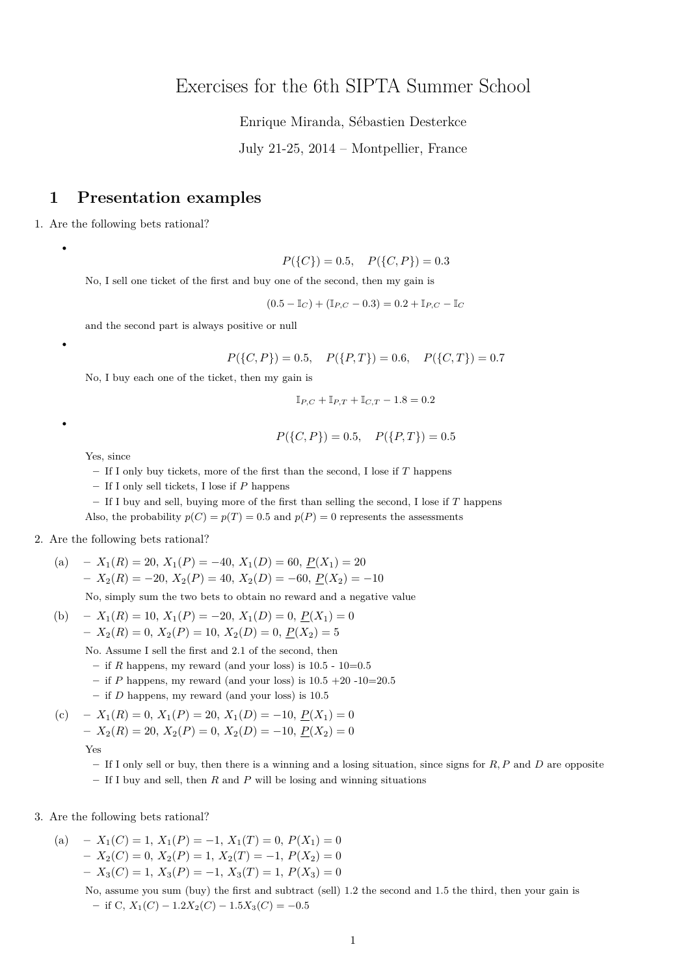# Exercises for the 6th SIPTA Summer School

Enrique Miranda, Sébastien Desterkce

July 21-25, 2014 – Montpellier, France

## **1 Presentation examples**

1. Are the following bets rational?

•

•

•

 $P({C}) = 0.5, P({C, P}) = 0.3$ 

No, I sell one ticket of the first and buy one of the second, then my gain is

 $(0.5 - \mathbb{I}_C) + (\mathbb{I}_{P,C} - 0.3) = 0.2 + \mathbb{I}_{P,C} - \mathbb{I}_C$ 

and the second part is always positive or null

$$
P({C, P}) = 0.5
$$
,  $P({P, T}) = 0.6$ ,  $P({C, T}) = 0.7$ 

No, I buy each one of the ticket, then my gain is

$$
\mathbb{I}_{P,C} + \mathbb{I}_{P,T} + \mathbb{I}_{C,T} - 1.8 = 0.2
$$

 $P({C, P}) = 0.5, P({P, T}) = 0.5$ 

Yes, since

**–** If I only buy tickets, more of the first than the second, I lose if *T* happens

**–** If I only sell tickets, I lose if *P* happens

**–** If I buy and sell, buying more of the first than selling the second, I lose if *T* happens Also, the probability  $p(C) = p(T) = 0.5$  and  $p(P) = 0$  represents the assessments

### 2. Are the following bets rational?

(a) 
$$
-X_1(R) = 20, X_1(P) = -40, X_1(D) = 60, P(X_1) = 20
$$

$$
-X_2(R) = -20, X_2(P) = 40, X_2(D) = -60, P(X_2) = -10
$$

No, simply sum the two bets to obtain no reward and a negative value

(b) 
$$
-X_1(R) = 10, X_1(P) = -20, X_1(D) = 0, \underline{P}(X_1) = 0
$$

$$
-X_2(R) = 0, X_2(P) = 10, X_2(D) = 0, \underline{P}(X_2) = 5
$$

No. Assume I sell the first and 2.1 of the second, then

- $-$  if *R* happens, my reward (and your loss) is 10.5 10=0.5
- **–** if *P* happens, my reward (and your loss) is 10.5 +20 -10=20.5
- **–** if *D* happens, my reward (and your loss) is 10.5
- (c)  $X_1(R) = 0, X_1(P) = 20, X_1(D) = -10, P(X_1) = 0$ **–** *X*2(*R*) = 20, *X*2(*P*) = 0, *X*2(*D*) = −10, *P*(*X*2) = 0

$$
\operatorname{Yes}
$$

**–** If I only sell or buy, then there is a winning and a losing situation, since signs for *R, P* and *D* are opposite **–** If I buy and sell, then *R* and *P* will be losing and winning situations

3. Are the following bets rational?

(a)  $-X_1(C) = 1, X_1(P) = -1, X_1(T) = 0, P(X_1) = 0$  $X_2(C) = 0, X_2(P) = 1, X_2(T) = -1, P(X_2) = 0$ **–** *X*3(*C*) = 1, *X*3(*P*) = −1, *X*3(*T*) = 1, *P*(*X*3) = 0

> No, assume you sum (buy) the first and subtract (sell) 1.2 the second and 1.5 the third, then your gain is  $-$  if C,  $X_1(C) - 1.2X_2(C) - 1.5X_3(C) = -0.5$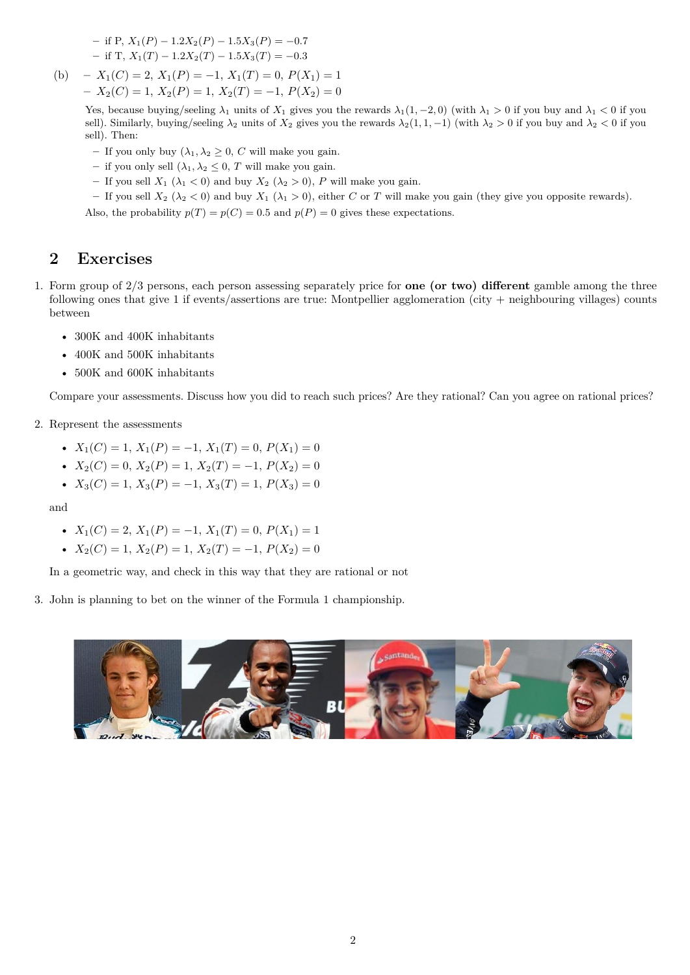$-$  if P,  $X_1(P) - 1.2X_2(P) - 1.5X_3(P) = -0.7$  $-$  if T,  $X_1(T) - 1.2X_2(T) - 1.5X_3(T) = -0.3$ 

(b)  $-X_1(C) = 2, X_1(P) = -1, X_1(T) = 0, P(X_1) = 1$ **–** *X*2(*C*) = 1, *X*2(*P*) = 1, *X*2(*T*) = −1, *P*(*X*2) = 0

> Yes, because buying/seeling  $\lambda_1$  units of  $X_1$  gives you the rewards  $\lambda_1(1, -2, 0)$  (with  $\lambda_1 > 0$  if you buy and  $\lambda_1 < 0$  if you sell). Similarly, buying/seeling  $\lambda_2$  units of  $X_2$  gives you the rewards  $\lambda_2(1, 1, -1)$  (with  $\lambda_2 > 0$  if you buy and  $\lambda_2 < 0$  if you sell). Then:

- $-$  If you only buy  $(\lambda_1, \lambda_2 \geq 0, C$  will make you gain.
- $-$  if you only sell  $(\lambda_1, \lambda_2 \leq 0, T$  will make you gain.
- If you sell  $X_1$  ( $\lambda_1$  < 0) and buy  $X_2$  ( $\lambda_2$  > 0), *P* will make you gain.
- If you sell  $X_2$  ( $\lambda_2$  < 0) and buy  $X_1$  ( $\lambda_1$  > 0), either *C* or *T* will make you gain (they give you opposite rewards).

Also, the probability  $p(T) = p(C) = 0.5$  and  $p(P) = 0$  gives these expectations.

## **2 Exercises**

- 1. Form group of 2/3 persons, each person assessing separately price for **one (or two) different** gamble among the three following ones that give 1 if events/assertions are true: Montpellier agglomeration (city + neighbouring villages) counts between
	- 300K and 400K inhabitants
	- 400K and 500K inhabitants
	- 500K and 600K inhabitants

Compare your assessments. Discuss how you did to reach such prices? Are they rational? Can you agree on rational prices?

- 2. Represent the assessments
	- $X_1(C) = 1, X_1(P) = -1, X_1(T) = 0, P(X_1) = 0$
	- $X_2(C) = 0$ ,  $X_2(P) = 1$ ,  $X_2(T) = -1$ ,  $P(X_2) = 0$
	- $X_3(C) = 1, X_3(P) = -1, X_3(T) = 1, P(X_3) = 0$

and

- $X_1(C) = 2$ ,  $X_1(P) = -1$ ,  $X_1(T) = 0$ ,  $P(X_1) = 1$
- $X_2(C) = 1, X_2(P) = 1, X_2(T) = -1, P(X_2) = 0$

In a geometric way, and check in this way that they are rational or not

3. John is planning to bet on the winner of the Formula 1 championship.

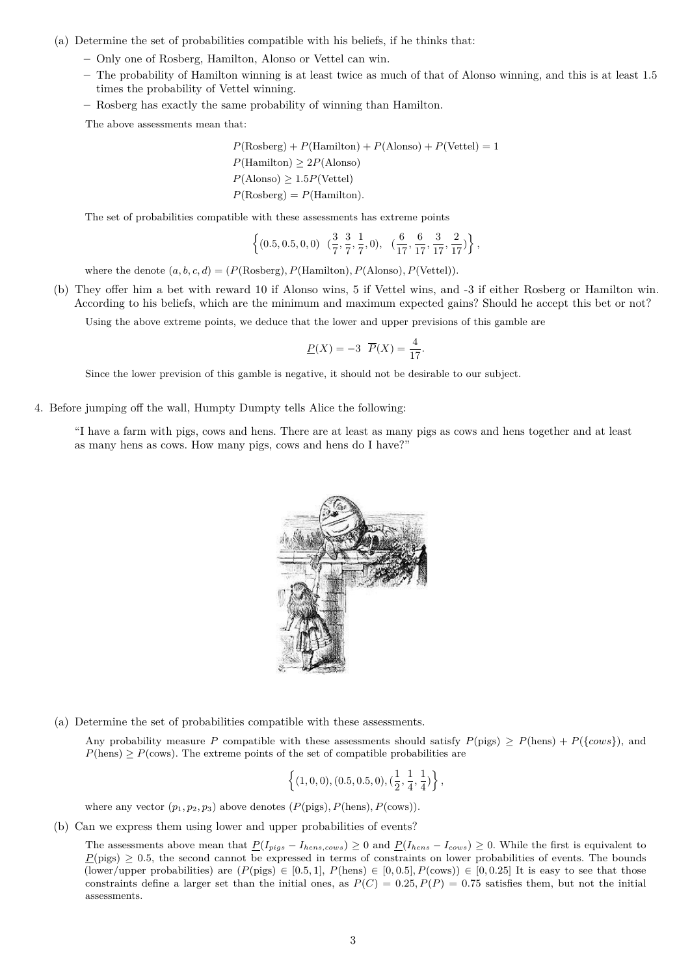- (a) Determine the set of probabilities compatible with his beliefs, if he thinks that:
	- **–** Only one of Rosberg, Hamilton, Alonso or Vettel can win.
	- **–** The probability of Hamilton winning is at least twice as much of that of Alonso winning, and this is at least 1.5 times the probability of Vettel winning.
	- **–** Rosberg has exactly the same probability of winning than Hamilton.

The above assessments mean that:

$$
P(\text{Rosberg}) + P(\text{Hamilton}) + P(\text{Alonso}) + P(\text{Vettel}) = 1
$$
  

$$
P(\text{Hamilton}) \ge 2P(\text{Alonso})
$$
  

$$
P(\text{Alonso}) \ge 1.5P(\text{Vettel})
$$
  

$$
P(\text{Rosberg}) = P(\text{Hamilton}).
$$

The set of probabilities compatible with these assessments has extreme points

$$
\left\{(0.5, 0.5, 0, 0) \quad (\frac{3}{7}, \frac{3}{7}, \frac{1}{7}, 0), \quad (\frac{6}{17}, \frac{6}{17}, \frac{3}{17}, \frac{2}{17})\right\},\
$$

where the denote  $(a, b, c, d) = (P(\text{Rosberg}), P(\text{Hamilton}), P(\text{Alonso}), P(\text{Vertel})).$ 

(b) They offer him a bet with reward 10 if Alonso wins, 5 if Vettel wins, and -3 if either Rosberg or Hamilton win. According to his beliefs, which are the minimum and maximum expected gains? Should he accept this bet or not?

Using the above extreme points, we deduce that the lower and upper previsions of this gamble are

$$
\underline{P}(X) = -3 \ \overline{P}(X) = \frac{4}{17}
$$

*.*

Since the lower prevision of this gamble is negative, it should not be desirable to our subject.

4. Before jumping off the wall, Humpty Dumpty tells Alice the following:

"I have a farm with pigs, cows and hens. There are at least as many pigs as cows and hens together and at least as many hens as cows. How many pigs, cows and hens do I have?"



(a) Determine the set of probabilities compatible with these assessments.

Any probability measure *P* compatible with these assessments should satisfy  $P(\text{pigs}) \geq P(\text{hens}) + P({\text{rows}})$ *,* and  $P(\text{hens}) \geq P(\text{cows})$ . The extreme points of the set of compatible probabilities are

$$
\left\{(1,0,0),(0.5,0.5,0),(\frac{1}{2},\frac{1}{4},\frac{1}{4})\right\},
$$

where any vector  $(p_1, p_2, p_3)$  above denotes  $(P(\text{pigs}), P(\text{hens}), P(\text{cows}))$ .

(b) Can we express them using lower and upper probabilities of events?

The assessments above mean that  $P(I_{pigs} - I_{hens, cows}) \geq 0$  and  $P(I_{hens} - I_{cows}) \geq 0$ . While the first is equivalent to  $P(pigs) \ge 0.5$ , the second cannot be expressed in terms of constraints on lower probabilities of events. The bounds (lower/upper probabilities) are  $(P(\text{pigs}) \in [0.5, 1], P(\text{hens}) \in [0, 0.5], P(\text{cows}) \in [0, 0.25]$  It is easy to see that those constraints define a larger set than the initial ones, as  $P(C) = 0.25, P(P) = 0.75$  satisfies them, but not the initial assessments.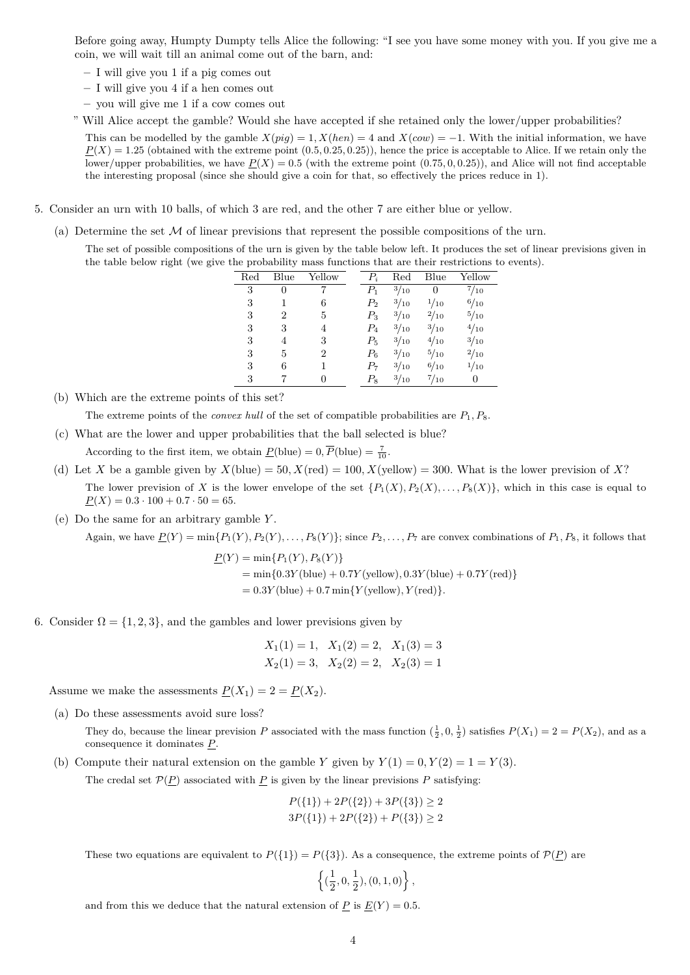Before going away, Humpty Dumpty tells Alice the following: "I see you have some money with you. If you give me a coin, we will wait till an animal come out of the barn, and:

- **–** I will give you 1 if a pig comes out
- **–** I will give you 4 if a hen comes out
- **–** you will give me 1 if a cow comes out

" Will Alice accept the gamble? Would she have accepted if she retained only the lower/upper probabilities?

This can be modelled by the gamble  $X(pig) = 1$ ,  $X(hen) = 4$  and  $X(cow) = -1$ . With the initial information, we have  $P(X) = 1.25$  (obtained with the extreme point  $(0.5, 0.25, 0.25)$ ), hence the price is acceptable to Alice. If we retain only the lower/upper probabilities, we have  $\underline{P}(X) = 0.5$  (with the extreme point  $(0.75, 0, 0.25)$ ), and Alice will not find acceptable the interesting proposal (since she should give a coin for that, so effectively the prices reduce in 1).

- 5. Consider an urn with 10 balls, of which 3 are red, and the other 7 are either blue or yellow.
	- (a) Determine the set  $\mathcal M$  of linear previsions that represent the possible compositions of the urn.

The set of possible compositions of the urn is given by the table below left. It produces the set of linear previsions given in the table below right (we give the probability mass functions that are their restrictions to events).

| $_{\rm Red}$ | Blue     | Yellow       | $P_i$   | $_{\rm Red}$ | Blue         | Yellow       |
|--------------|----------|--------------|---------|--------------|--------------|--------------|
| 3            | $\theta$ |              | $P_1$   | 3/10         | 0            | $^{7/}_{10}$ |
| 3            |          | 6            | $P_{2}$ | 3/10         | 1/10         | 6/10         |
| 3            | 2        | 5            | $P_{3}$ | $^{3/10}$    | $^{2}/_{10}$ | $^{5/10}$    |
| 3            | 3        | 4            | $P_4$   | $^{3/10}$    | 3/10         | 4/10         |
| 3            | 4        | 3            | $P_5$   | 3/10         | 4/10         | 3/10         |
| 3            | 5        | 2            | $P_6$   | 3/10         | $^{5/10}$    | $^{2}/_{10}$ |
| 3            | 6        |              | $P_7$   | $^{3/10}$    | $^{6/10}$    | 1/10         |
| 3            |          | $\mathbf{0}$ | $P_8$   | $^{3/10}$    | $^{7/}_{10}$ | 0            |

(b) Which are the extreme points of this set?

The extreme points of the *convex hull* of the set of compatible probabilities are *P*1*, P*8.

(c) What are the lower and upper probabilities that the ball selected is blue?

According to the first item, we obtain  $\underline{P}$ (blue) = 0,  $\overline{P}$ (blue) =  $\frac{7}{10}$ .

- (d) Let *X* be a gamble given by  $X(\text{blue}) = 50$ ,  $X(\text{red}) = 100$ ,  $X(\text{yellow}) = 300$ . What is the lower prevision of *X*? The lower prevision of *X* is the lower envelope of the set  $\{P_1(X), P_2(X), \ldots, P_8(X)\}$ , which in this case is equal to  $P(X) = 0.3 \cdot 100 + 0.7 \cdot 50 = 65.$
- (e) Do the same for an arbitrary gamble *Y* .

Again, we have  $P(Y) = \min\{P_1(Y), P_2(Y), \ldots, P_8(Y)\}$ ; since  $P_2, \ldots, P_7$  are convex combinations of  $P_1, P_8$ , it follows that

$$
\underline{P}(Y) = \min\{P_1(Y), P_8(Y)\}\
$$
  
= min{0.3Y(blue) + 0.7Y(yellow), 0.3Y(blue) + 0.7Y(red)}  
= 0.3Y(blue) + 0.7 min{Y(yellow), Y(red)}.

6. Consider  $\Omega = \{1, 2, 3\}$ , and the gambles and lower previsions given by

$$
X_1(1) = 1
$$
,  $X_1(2) = 2$ ,  $X_1(3) = 3$   
\n $X_2(1) = 3$ ,  $X_2(2) = 2$ ,  $X_2(3) = 1$ 

Assume we make the assessments  $P(X_1) = 2 = P(X_2)$ .

(a) Do these assessments avoid sure loss?

They do, because the linear prevision *P* associated with the mass function  $(\frac{1}{2}, 0, \frac{1}{2})$  satisfies  $P(X_1) = 2 = P(X_2)$ , and as a consequence it dominates *P*.

(b) Compute their natural extension on the gamble *Y* given by  $Y(1) = 0, Y(2) = 1 = Y(3)$ .

The credal set  $\mathcal{P}(\underline{P})$  associated with  $\underline{P}$  is given by the linear previsions  $P$  satisfying:

$$
P({1}) + 2P({2}) + 3P({3}) \ge 2
$$
  
3P({1}) + 2P({2}) + P({3}) \ge 2

These two equations are equivalent to  $P({1}) = P({3})$ . As a consequence, the extreme points of  $P(P)$  are

$$
\left\{(\frac{1}{2},0,\frac{1}{2}),(0,1,0)\right\},\
$$

and from this we deduce that the natural extension of  $\underline{P}$  is  $\underline{E}(Y) = 0.5$ .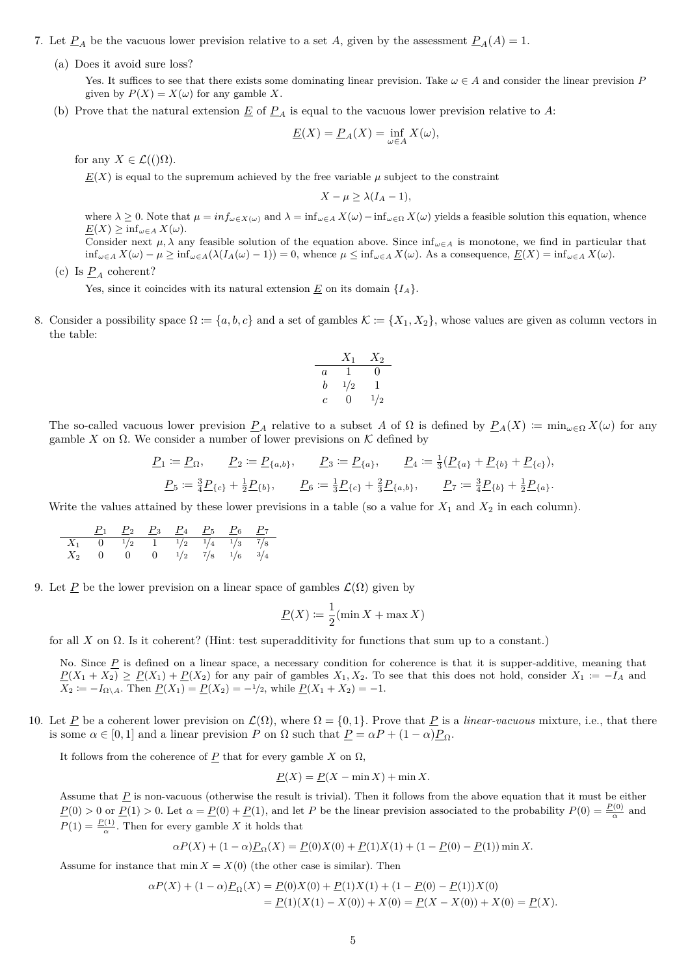- 7. Let  $\underline{P}_A$  be the vacuous lower prevision relative to a set *A*, given by the assessment  $\underline{P}_A(A) = 1$ .
	- (a) Does it avoid sure loss?

Yes. It suffices to see that there exists some dominating linear prevision. Take  $\omega \in A$  and consider the linear prevision *P* given by  $P(X) = X(\omega)$  for any gamble X.

(b) Prove that the natural extension  $\underline{E}$  of  $\underline{P}_A$  is equal to the vacuous lower prevision relative to A:

$$
\underline{E}(X) = \underline{P}_A(X) = \inf_{\omega \in A} X(\omega),
$$

for any  $X \in \mathcal{L}((\Omega)).$ 

 $E(X)$  is equal to the supremum achieved by the free variable  $\mu$  subject to the constraint

$$
X - \mu \ge \lambda (I_A - 1),
$$

where  $\lambda \geq 0$ . Note that  $\mu = \inf_{\omega \in X(\omega)}$  and  $\lambda = \inf_{\omega \in A} X(\omega) - \inf_{\omega \in \Omega} X(\omega)$  yields a feasible solution this equation, whence  $E(X) \geq \inf_{\omega \in A} X(\omega)$ .

Consider next  $\mu$ ,  $\lambda$  any feasible solution of the equation above. Since  $\inf_{\omega \in A}$  is monotone, we find in particular that  $\inf_{\omega \in A} X(\omega) - \mu \ge \inf_{\omega \in A} (\lambda (I_A(\omega) - 1)) = 0$ , whence  $\mu \le \inf_{\omega \in A} X(\omega)$ . As a consequence,  $\underline{E}(X) = \inf_{\omega \in A} X(\omega)$ .

(c) Is  $P_A$  coherent?

Yes, since it coincides with its natural extension  $E$  on its domain  $\{I_A\}$ .

8. Consider a possibility space  $\Omega := \{a, b, c\}$  and a set of gambles  $\mathcal{K} := \{X_1, X_2\}$ , whose values are given as column vectors in the table:

$$
\begin{array}{c|cc}\n & X_1 & X_2 \\
\hline\na & 1 & 0 \\
b & \frac{1}{2} & 1 \\
c & 0 & \frac{1}{2}\n\end{array}
$$

The so-called vacuous lower prevision  $P_A$  relative to a subset A of  $\Omega$  is defined by  $P_A(X) \coloneqq \min_{\omega \in \Omega} X(\omega)$  for any gamble *X* on Ω. We consider a number of lower previsions on K defined by

$$
\underline{P}_1 := \underline{P}_{\Omega}, \qquad \underline{P}_2 := \underline{P}_{\{a,b\}}, \qquad \underline{P}_3 := \underline{P}_{\{a\}}, \qquad \underline{P}_4 := \frac{1}{3}(\underline{P}_{\{a\}} + \underline{P}_{\{b\}} + \underline{P}_{\{c\}}),
$$
\n
$$
\underline{P}_5 := \frac{3}{4}\underline{P}_{\{c\}} + \frac{1}{2}\underline{P}_{\{b\}}, \qquad \underline{P}_6 := \frac{1}{3}\underline{P}_{\{c\}} + \frac{2}{3}\underline{P}_{\{a,b\}}, \qquad \underline{P}_7 := \frac{3}{4}\underline{P}_{\{b\}} + \frac{1}{2}\underline{P}_{\{a\}}.
$$

Write the values attained by these lower previsions in a table (so a value for  $X_1$  and  $X_2$  in each column).

$$
\begin{array}{c|ccccccccc}\n & P_1 & P_2 & P_3 & P_4 & P_5 & P_6 & P_7 \\
\hline\nX_1 & 0 & \frac{1}{2} & 1 & \frac{1}{2} & \frac{1}{4} & \frac{1}{3} & \frac{7}{8} \\
X_2 & 0 & 0 & 0 & \frac{1}{2} & \frac{7}{8} & \frac{1}{6} & \frac{3}{4}\n\end{array}
$$

9. Let P be the lower prevision on a linear space of gambles  $\mathcal{L}(\Omega)$  given by

$$
\underline{P}(X) := \frac{1}{2}(\min X + \max X)
$$

for all *X* on  $\Omega$ . Is it coherent? (Hint: test superadditivity for functions that sum up to a constant.)

No. Since P is defined on a linear space, a necessary condition for coherence is that it is supper-additive, meaning that  $P(X_1 + X_2) \geq P(X_1) + P(X_2)$  for any pair of gambles  $X_1, X_2$ . To see that this does not hold, consider  $X_1 := -I_A$  and  $X_2 := -I_{\Omega \setminus A}$ . Then  $\underline{P}(X_1) = \underline{P}(X_2) = -1/2$ , while  $\underline{P}(X_1 + X_2) = -1$ .

10. Let P be a coherent lower prevision on  $\mathcal{L}(\Omega)$ , where  $\Omega = \{0,1\}$ . Prove that P is a *linear-vacuous* mixture, i.e., that there is some  $\alpha \in [0,1]$  and a linear prevision *P* on  $\Omega$  such that  $\underline{P} = \alpha P + (1-\alpha)\underline{P}_{\Omega}$ .

It follows from the coherence of  $\underline{P}$  that for every gamble  $X$  on  $\Omega$ ,

$$
\underline{P}(X) = \underline{P}(X - \min X) + \min X.
$$

Assume that *P* is non-vacuous (otherwise the result is trivial). Then it follows from the above equation that it must be either  $\underline{P}(0) > 0$  or  $\underline{P}(1) > 0$ . Let  $\alpha = \underline{P}(0) + \underline{P}(1)$ , and let *P* be the linear prevision associated to the probability  $P(0) = \frac{P(0)}{\alpha}$  and  $P(1) = \frac{P(1)}{\alpha}$ . Then for every gamble *X* it holds that

$$
\alpha P(X) + (1 - \alpha) \underline{P}_{\Omega}(X) = \underline{P}(0)X(0) + \underline{P}(1)X(1) + (1 - \underline{P}(0) - \underline{P}(1)) \min X.
$$

Assume for instance that  $\min X = X(0)$  (the other case is similar). Then

$$
\alpha P(X) + (1 - \alpha) \underline{P}_{\Omega}(X) = \underline{P}(0)X(0) + \underline{P}(1)X(1) + (1 - \underline{P}(0) - \underline{P}(1))X(0)
$$
  
= 
$$
\underline{P}(1)(X(1) - X(0)) + X(0) = \underline{P}(X - X(0)) + X(0) = \underline{P}(X).
$$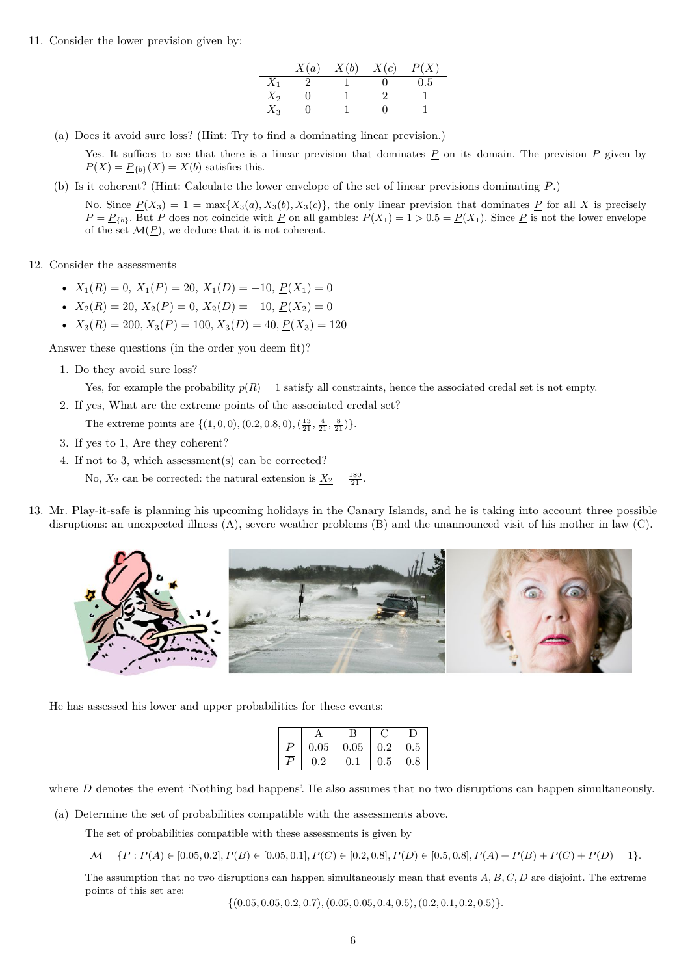11. Consider the lower prevision given by:

|       | X(a) | X(b) | X(c) | $\underline{P}(X)$ |
|-------|------|------|------|--------------------|
| $X_1$ |      |      |      | 0.5                |
| $X_2$ |      |      | 9    |                    |
| $X_3$ |      |      |      |                    |

(a) Does it avoid sure loss? (Hint: Try to find a dominating linear prevision.)

Yes. It suffices to see that there is a linear prevision that dominates  $P$  on its domain. The prevision  $P$  given by  $P(X) = P_{\{b\}}(X) = X(b)$  satisfies this.

(b) Is it coherent? (Hint: Calculate the lower envelope of the set of linear previsions dominating *P*.)

No. Since  $\underline{P}(X_3) = 1 = \max\{X_3(a), X_3(b), X_3(c)\}\text{, the only linear previous that dominates } \underline{P} \text{ for all } X \text{ is precisely}$  $P = P_{b}$ . But *P* does not coincide with *P* on all gambles:  $P(X_1) = 1 > 0.5 = P(X_1)$ . Since *P* is not the lower envelope of the set  $\mathcal{M}(\underline{P})$ , we deduce that it is not coherent.

#### 12. Consider the assessments

- $X_1(R) = 0$ ,  $X_1(P) = 20$ ,  $X_1(D) = -10$ ,  $P(X_1) = 0$
- $X_2(R) = 20$ ,  $X_2(P) = 0$ ,  $X_2(D) = -10$ ,  $P(X_2) = 0$
- $X_3(R) = 200, X_3(P) = 100, X_3(D) = 40, P(X_3) = 120$

Answer these questions (in the order you deem fit)?

1. Do they avoid sure loss?

Yes, for example the probability  $p(R) = 1$  satisfy all constraints, hence the associated credal set is not empty.

- 2. If yes, What are the extreme points of the associated credal set?
	- The extreme points are  $\{(1,0,0), (0.2, 0.8, 0), (\frac{13}{21}, \frac{4}{21}, \frac{8}{21})\}.$
- 3. If yes to 1, Are they coherent?
- 4. If not to 3, which assessment(s) can be corrected?

No,  $X_2$  can be corrected: the natural extension is  $\underline{X_2} = \frac{180}{21}$ .

13. Mr. Play-it-safe is planning his upcoming holidays in the Canary Islands, and he is taking into account three possible disruptions: an unexpected illness (A), severe weather problems (B) and the unannounced visit of his mother in law (C).



He has assessed his lower and upper probabilities for these events:

|               | В                               |                          |  |
|---------------|---------------------------------|--------------------------|--|
|               | $0.05$   $0.05$   $0.2$   $0.5$ |                          |  |
| $0.2^{\circ}$ | 0.1                             | $\mid 0.5 \mid 0.8 \mid$ |  |

where *D* denotes the event 'Nothing bad happens'. He also assumes that no two disruptions can happen simultaneously.

(a) Determine the set of probabilities compatible with the assessments above.

The set of probabilities compatible with these assessments is given by

 $\mathcal{M} = \{P : P(A) \in [0.05, 0.2], P(B) \in [0.05, 0.1], P(C) \in [0.2, 0.8], P(D) \in [0.5, 0.8], P(A) + P(B) + P(C) + P(D) = 1\}.$ 

The assumption that no two disruptions can happen simultaneously mean that events *A, B, C, D* are disjoint. The extreme points of this set are:

 $\{(0.05, 0.05, 0.2, 0.7), (0.05, 0.05, 0.4, 0.5), (0.2, 0.1, 0.2, 0.5)\}.$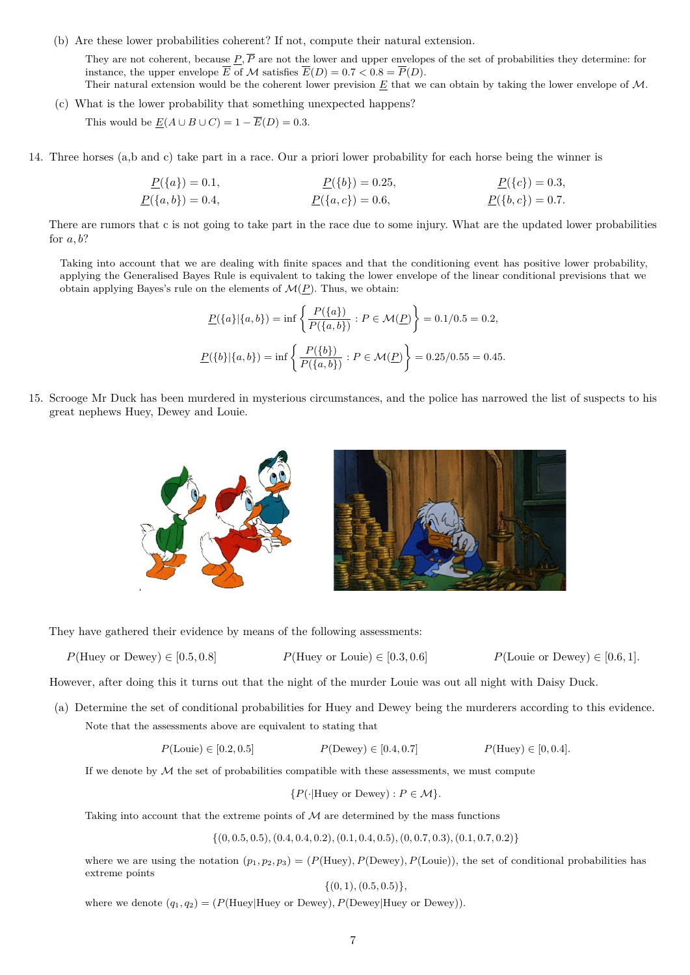(b) Are these lower probabilities coherent? If not, compute their natural extension.

They are not coherent, because  $P, \overline{P}$  are not the lower and upper envelopes of the set of probabilities they determine: for instance, the upper envelope  $\overline{E}$  of  $\overline{\mathcal{M}}$  satisfies  $\overline{E}(D) = 0.7 < 0.8 = \overline{P}(D)$ . Their natural extension would be the coherent lower prevision *E* that we can obtain by taking the lower envelope of M.

- (c) What is the lower probability that something unexpected happens? This would be  $E(A \cup B \cup C) = 1 - \overline{E}(D) = 0.3$ .
- 14. Three horses (a,b and c) take part in a race. Our a priori lower probability for each horse being the winner is

$$
\underline{P}(\{a\}) = 0.1, \qquad \underline{P}(\{b\}) = 0.25, \qquad \underline{P}(\{c\}) = 0.3, \n\underline{P}(\{a,b\}) = 0.4, \qquad \underline{P}(\{a,c\}) = 0.6, \qquad \underline{P}(\{b,c\}) = 0.7.
$$

There are rumors that c is not going to take part in the race due to some injury. What are the updated lower probabilities for *a, b*?

Taking into account that we are dealing with finite spaces and that the conditioning event has positive lower probability, applying the Generalised Bayes Rule is equivalent to taking the lower envelope of the linear conditional previsions that we obtain applying Bayes's rule on the elements of  $\mathcal{M}(P)$ . Thus, we obtain:

$$
\underline{P}(\{a\}|\{a,b\}) = \inf \left\{ \frac{P(\{a\})}{P(\{a,b\})} : P \in \mathcal{M}(\underline{P}) \right\} = 0.1/0.5 = 0.2,
$$
  

$$
\underline{P}(\{b\}|\{a,b\}) = \inf \left\{ \frac{P(\{b\})}{P(\{a,b\})} : P \in \mathcal{M}(\underline{P}) \right\} = 0.25/0.55 = 0.45.
$$

15. Scrooge Mr Duck has been murdered in mysterious circumstances, and the police has narrowed the list of suspects to his great nephews Huey, Dewey and Louie.



They have gathered their evidence by means of the following assessments:

 $P(\text{Huey or Dewey}) \in [0.5, 0.8]$   $P(\text{Huey or Louie}) \in [0.3, 0.6]$   $P(\text{Louie or Dewey}) \in [0.6, 1].$ 

However, after doing this it turns out that the night of the murder Louie was out all night with Daisy Duck.

(a) Determine the set of conditional probabilities for Huey and Dewey being the murderers according to this evidence. Note that the assessments above are equivalent to stating that

 $P(\text{Louis}) \in [0.2, 0.5]$   $P(\text{Dewey}) \in [0.4, 0.7]$   $P(\text{Huey}) \in [0, 0.4]$ .

If we denote by  $M$  the set of probabilities compatible with these assessments, we must compute

$$
\{P(\cdot|\text{Huey or Dewey}) : P \in \mathcal{M}\}.
$$

Taking into account that the extreme points of  $M$  are determined by the mass functions

 $\{(0, 0.5, 0.5), (0.4, 0.4, 0.2), (0.1, 0.4, 0.5), (0, 0.7, 0.3), (0.1, 0.7, 0.2)\}\$ 

where we are using the notation  $(p_1, p_2, p_3) = (P(\text{Huey}), P(\text{Dewey}), P(\text{Louie}))$ , the set of conditional probabilities has extreme points

{(0*,* 1)*,*(0*.*5*,* 0*.*5)}*,*

where we denote  $(q_1, q_2) = (P(Huey|Huey \text{ or Dewey}), P(Dewey|Huey \text{ or Dewey})).$